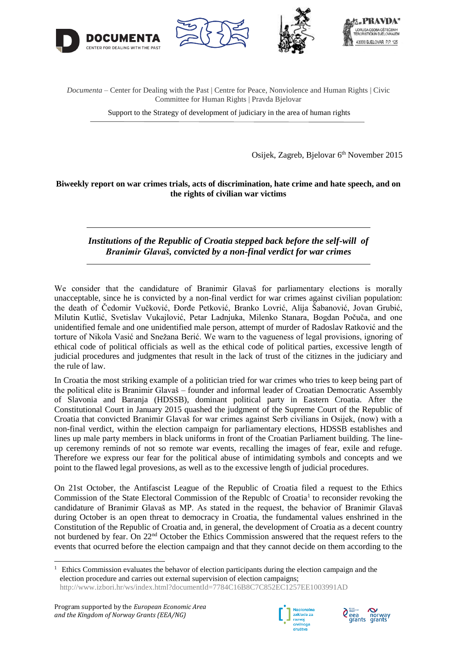





43000 B IELOVAR PP 125

*Documenta* – Center for Dealing with the Past | Centre for Peace, Nonviolence and Human Rights | Civic Committee for Human Rights | Pravda Bjelovar

Support to the Strategy of development of judiciary in the area of human rights

Osijek, Zagreb, Bjelovar 6<sup>th</sup> November 2015

#### **Biweekly report on war crimes trials, acts of discrimination, hate crime and hate speech, and on the rights of civilian war victims**

*Institutions of the Republic of Croatia stepped back before the self-will of Branimir Glavaš, convicted by a non-final verdict for war crimes*

We consider that the candidature of Branimir Glavaš for parliamentary elections is morally unacceptable, since he is convicted by a non-final verdict for war crimes against civilian population: the death of Čedomir Vučković, Đorđe Petković, Branko Lovrić, Alija Šabanović, Jovan Grubić, Milutin Kutlić, Svetislav Vukajlović, Petar Ladnjuka, Milenko Stanara, Bogdan Počuča, and one unidentified female and one unidentified male person, attempt of murder of Radoslav Ratković and the torture of Nikola Vasić and Snežana Berić. We warn to the vagueness of legal provisions, ignoring of ethical code of political officials as well as the ethical code of political parties, excessive length of judicial procedures and judgmentes that result in the lack of trust of the citiznes in the judiciary and the rule of law.

In Croatia the most striking example of a politician tried for war crimes who tries to keep being part of the political elite is Branimir Glavaš – founder and informal leader of Croatian Democratic Assembly of Slavonia and Baranja (HDSSB), dominant political party in Eastern Croatia. After the Constitutional Court in January 2015 quashed the judgment of the Supreme Court of the Republic of Croatia that convicted Branimir Glavaš for war crimes against Serb civilians in Osijek, (now) with a non-final verdict, within the election campaign for parliamentary elections, HDSSB establishes and lines up male party members in black uniforms in front of the Croatian Parliament building. The lineup ceremony reminds of not so remote war events, recalling the images of fear, exile and refuge. Therefore we express our fear for the political abuse of intimidating symbols and concepts and we point to the flawed legal provesions, as well as to the excessive length of judicial procedures.

On 21st October, the Antifascist League of the Republic of Croatia filed a request to the Ethics Commission of the State Electoral Commission of the Republc of Croatia<sup>1</sup> to reconsider revoking the candidature of Branimir Glavaš as MP. As stated in the request, the behavior of Branimir Glavaš during October is an open threat to democracy in Croatia, the fundamental values enshrined in the Constitution of the Republic of Croatia and, in general, the development of Croatia as a decent country not burdened by fear. On 22nd October the Ethics Commission answered that the request refers to the events that ocurred before the election campaign and that they cannot decide on them according to the

1





<sup>1</sup> Ethics Commission evaluates the behavor of election participants during the election campaign and the election procedure and carries out external supervision of election campaigns; <http://www.izbori.hr/ws/index.html?documentId=7784C16B8C7C852EC1257EE1003991AD>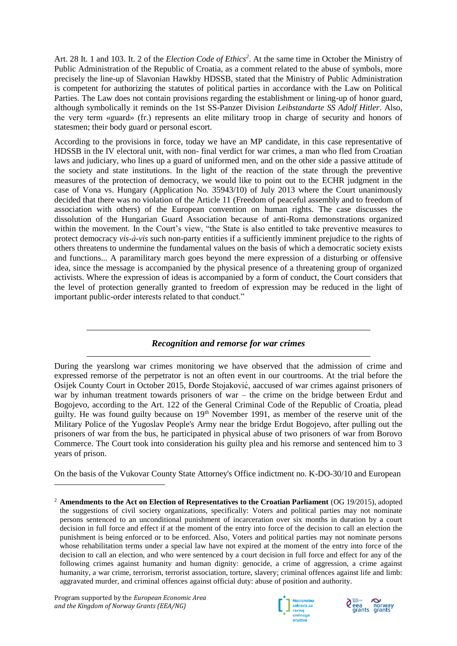Art. 28 It. 1 and 103. It. 2 of the *Election Code of Ethics<sup>2</sup>* . At the same time in October the Ministry of Public Administration of the Republic of Croatia, as a comment related to the abuse of symbols, more precisely the line-up of Slavonian Hawkby HDSSB, stated that the Ministry of Public Administration is competent for authorizing the statutes of political parties in accordance with the Law on Political Parties. The Law does not contain provisions regarding the establishment or lining-up of honor guard, although symbolically it reminds on the 1st SS-Panzer Division *Leibstandarte SS Adolf Hitler*. Also, the very term «guard» (fr.) represents an elite military troop in charge of security and honors of statesmen; their body guard or personal escort.

According to the provisions in force, today we have an MP candidate, in this case representative of HDSSB in the IV electoral unit, with non- final verdict for war crimes, a man who fled from Croatian laws and judiciary, who lines up a guard of uniformed men, and on the other side a passive attitude of the society and state institutions. In the light of the reaction of the state through the preventive measures of the protection of democracy, we would like to point out to the ECHR judgment in the case of Vona vs. Hungary (Application No. 35943/10) of July 2013 where the Court unanimously decided that there was no violation of the Article 11 (Freedom of peaceful assembly and to freedom of association with others) of the European convention on human rights. The case discusses the dissolution of the Hungarian Guard Association because of anti-Roma demonstrations organized within the movement. In the Court's view, "the State is also entitled to take preventive measures to protect democracy *vis-à-vis* such non-party entities if a sufficiently imminent prejudice to the rights of others threatens to undermine the fundamental values on the basis of which a democratic society exists and functions... A paramilitary march goes beyond the mere expression of a disturbing or offensive idea, since the message is accompanied by the physical presence of a threatening group of organized activists. Where the expression of ideas is accompanied by a form of conduct, the Court considers that the level of protection generally granted to freedom of expression may be reduced in the light of important public-order interests related to that conduct."

# *Recognition and remorse for war crimes*

During the yearslong war crimes monitoring we have observed that the admission of crime and expressed remorse of the perpetrator is not an often event in our courtrooms. At the trial before the Osijek County Court in October 2015, Đorđe Stojaković , aaccused of war crimes against prisoners of war by inhuman treatment towards prisoners of war – the crime on the bridge between Erdut and Bogojevo, according to the Art. 122 of the General Criminal Code of the Republic of Croatia, plead guilty. He was found guilty because on 19<sup>th</sup> November 1991, as member of the reserve unit of the Military Police of the Yugoslav People's Army near the bridge Erdut Bogojevo, after pulling out the prisoners of war from the bus, he participated in physical abuse of two prisoners of war from Borovo Commerce. The Court took into consideration his guilty plea and his remorse and sentenced him to 3 years of prison.

On the basis of the Vukovar County State Attorney's Office indictment no. K-DO-30/10 and European

-





<sup>2</sup> **Amendments to the Act on Election of Representatives to the Croatian Parliament** (OG 19/2015), adopted the suggestions of civil society organizations, specifically: Voters and political parties may not nominate persons sentenced to an unconditional punishment of incarceration over six months in duration by a court decision in full force and effect if at the moment of the entry into force of the decision to call an election the punishment is being enforced or to be enforced. Also, Voters and political parties may not nominate persons whose rehabilitation terms under a special law have not expired at the moment of the entry into force of the decision to call an election, and who were sentenced by a court decision in full force and effect for any of the following crimes against humanity and human dignity: genocide, a crime of aggression, a crime against humanity, a war crime, terrorism, terrorist association, torture, slavery; criminal offences against life and limb: aggravated murder, and criminal offences against official duty: abuse of position and authority.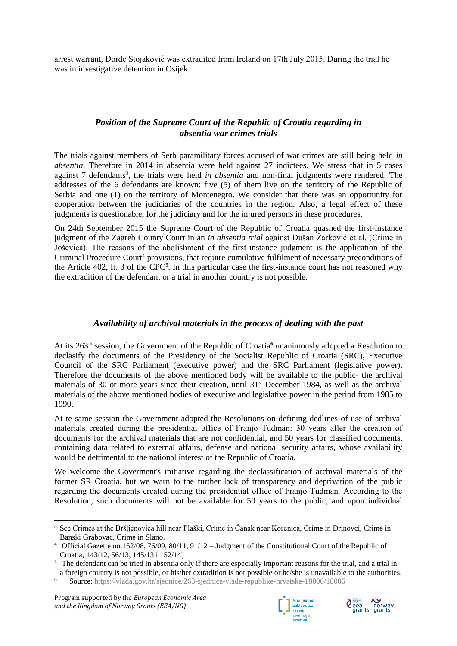arrest warrant, Đorđe Stojaković was extradited from Ireland on 17th July 2015. During the trial he was in investigative detention in Osijek.

# *Position of the Supreme Court of the Republic of Croatia regarding in absentia war crimes trials*

The trials against members of Serb paramilitary forces accused of war crimes are still being held *in absentia*. Therefore in 2014 in absentia were held against 27 indictees. We stress that in 5 cases against 7 defendants<sup>3</sup>, the trials were held *in absentia* and non-final judgments were rendered. The addresses of the 6 defendants are known: five (5) of them live on the territory of the Republic of Serbia and one (1) on the territory of Montenegro. We consider that there was an opportunity for cooperation between the judiciaries of the countries in the region. Also, a legal effect of these judgments is questionable, for the judiciary and for the injured persons in these procedures.

On 24th September 2015 the Supreme Court of the Republic of Croatia quashed the first-instance judgment of the Zagreb County Court in an *in absentia trial* against Dušan Žarković et al. (Crime in Joševica). The reasons of the abolishment of the first-instance judgment is the application of the Criminal Procedure Court<sup>4</sup> provisions, that require cumulative fulfilment of necessary preconditions of the Article 402, It. 3 of the CPC<sup>5</sup>. In this particular case the first-instance court has not reasoned why the extradition of the defendant or a trial in another country is not possible.

### *Availability of archival materials in the process of dealing with the past*

At its 263th session, the Government of the Republic of Croatia**<sup>6</sup>** unanimously adopted a Resolution to declasify the documents of the Presidency of the Socialist Republic of Croatia (SRC), Executive Council of the SRC Parliament (executive power) and the SRC Parliament (legislative power). Therefore the documents of the above mentioned body will be available to the public- the archival materials of 30 or more years since their creation, until 31<sup>st</sup> December 1984, as well as the archival materials of the above mentioned bodies of executive and legislative power in the period from 1985 to 1990.

At te same session the Government adopted the Resolutions on defining dedlines of use of archival materials created during the presidential office of Franjo Tuđman: 30 years after the creation of documents for the archival materials that are not confidential, and 50 years for classified documents, containing data related to external affairs, defense and national security affairs, whose availability would be detrimental to the national interest of the Republic of Croatia.

We welcome the Goverment's initiative regarding the declassification of archival materials of the former SR Croatia, but we warn to the further lack of transparency and deprivation of the public regarding the documents created during the presidential office of Franjo Tuđman. According to the Resolution, such documents will not be available for 50 years to the public, and upon individual





<sup>1</sup> <sup>3</sup> See Crimes at the Bršljenovica hill near Plaški, Crime in Čanak near Korenica, Crime in Drinovci, Crime in Banski Grabovac, Crime in Slano.

<sup>4</sup> Official Gazette no.152/08, 76/09, 80/11, 91/12 – Judgment of the Constitutional Court of the Republic of Croatia, 143/12, 56/13, 145/13 i 152/14)

<sup>&</sup>lt;sup>5</sup> The defendant can be tried in absentia only if there are especially important reasons for the trial, and a trial in a foreign country is not possible, or his/her extradition is not possible or he/she is unavailable to the authorities.

<sup>6</sup> Source: <https://vlada.gov.hr/sjednice/263-sjednica-vlade-republike-hrvatske-18006/18006>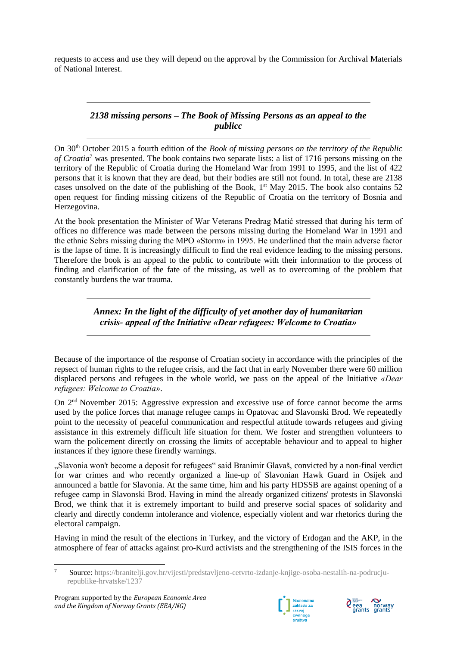requests to access and use they will depend on the approval by the Commission for Archival Materials of National Interest.

# *2138 missing persons – The Book of Missing Persons as an appeal to the publicc*

On 30th October 2015 a fourth edition of the *Book of missing persons on the territory of the Republic of Croatia*<sup>7</sup> was presented. The book contains two separate lists: a list of 1716 persons missing on the territory of the Republic of Croatia during the Homeland War from 1991 to 1995, and the list of 422 persons that it is known that they are dead, but their bodies are still not found. In total, these are 2138 cases unsolved on the date of the publishing of the Book,  $1<sup>st</sup>$  May 2015. The book also contains 52 open request for finding missing citizens of the Republic of Croatia on the territory of Bosnia and Herzegovina.

At the book presentation the Minister of War Veterans Predrag Matić stressed that during his term of offices no difference was made between the persons missing during the Homeland War in 1991 and the ethnic Sebrs missing during the MPO «Storm» in 1995. He underlined that the main adverse factor is the lapse of time. It is increasingly difficult to find the real evidence leading to the missing persons. Therefore the book is an appeal to the public to contribute with their information to the process of finding and clarification of the fate of the missing, as well as to overcoming of the problem that constantly burdens the war trauma.

# *Annex: In the light of the difficulty of yet another day of humanitarian crisis- appeal of the Initiative «Dear refugees: Welcome to Croatia»*

Because of the importance of the response of Croatian society in accordance with the principles of the repsect of human rights to the refugee crisis, and the fact that in early November there were 60 million displaced persons and refugees in the whole world, we pass on the appeal of the Initiative *«Dear refugees: Welcome to Croatia»*.

On 2nd November 2015: Aggressive expression and excessive use of force cannot become the arms used by the police forces that manage refugee camps in Opatovac and Slavonski Brod. We repeatedly point to the necessity of peaceful communication and respectful attitude towards refugees and giving assistance in this extremely difficult life situation for them. We foster and strengthen volunteers to warn the policement directly on crossing the limits of acceptable behaviour and to appeal to higher instances if they ignore these firendly warnings.

"Slavonia won't become a deposit for refugees" said Branimir Glavaš, convicted by a non-final verdict for war crimes and who recently organized a line-up of Slavonian Hawk Guard in Osijek and announced a battle for Slavonia. At the same time, him and his party HDSSB are against opening of a refugee camp in Slavonski Brod. Having in mind the already organized citizens' protests in Slavonski Brod, we think that it is extremely important to build and preserve social spaces of solidarity and clearly and directly condemn intolerance and violence, especially violent and war rhetorics during the electoral campaign.

Having in mind the result of the elections in Turkey, and the victory of Erdogan and the AKP, in the atmosphere of fear of attacks against pro-Kurd activists and the strengthening of the ISIS forces in the





 $\overline{7}$ <sup>7</sup> Source: [https://branitelji.gov.hr/vijesti/predstavljeno-cetvrto-izdanje-knjige-osoba-nestalih-na-podrucju](https://branitelji.gov.hr/vijesti/predstavljeno-cetvrto-izdanje-knjige-osoba-nestalih-na-podrucju-republike-hrvatske/1237)[republike-hrvatske/1237](https://branitelji.gov.hr/vijesti/predstavljeno-cetvrto-izdanje-knjige-osoba-nestalih-na-podrucju-republike-hrvatske/1237)